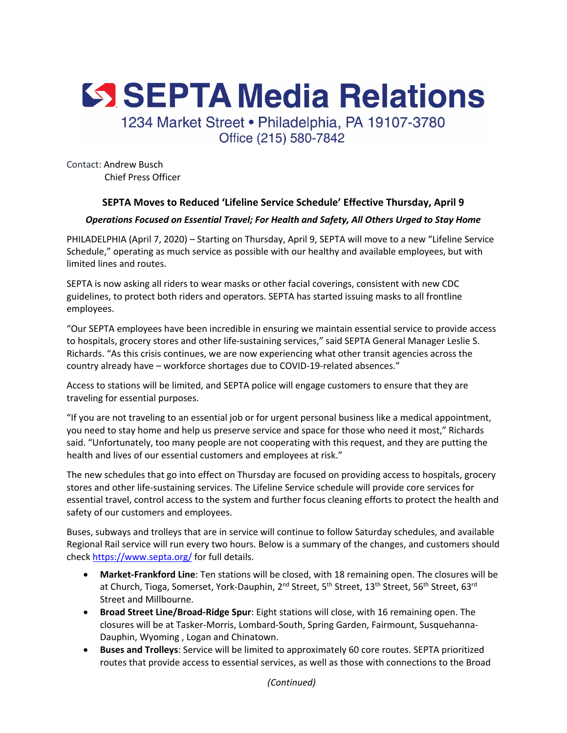SSEPTA Media Relations 1234 Market Street · Philadelphia, PA 19107-3780

Office (215) 580-7842

Contact: Andrew Busch Chief Press Officer

## **SEPTA Moves to Reduced 'Lifeline Service Schedule' Effective Thursday, April 9**

## *Operations Focused on Essential Travel; For Health and Safety, All Others Urged to Stay Home*

PHILADELPHIA (April 7, 2020) – Starting on Thursday, April 9, SEPTA will move to a new "Lifeline Service Schedule," operating as much service as possible with our healthy and available employees, but with limited lines and routes.

SEPTA is now asking all riders to wear masks or other facial coverings, consistent with new CDC guidelines, to protect both riders and operators. SEPTA has started issuing masks to all frontline employees.

"Our SEPTA employees have been incredible in ensuring we maintain essential service to provide access to hospitals, grocery stores and other life-sustaining services," said SEPTA General Manager Leslie S. Richards. "As this crisis continues, we are now experiencing what other transit agencies across the country already have – workforce shortages due to COVID-19-related absences."

Access to stations will be limited, and SEPTA police will engage customers to ensure that they are traveling for essential purposes.

"If you are not traveling to an essential job or for urgent personal business like a medical appointment, you need to stay home and help us preserve service and space for those who need it most," Richards said. "Unfortunately, too many people are not cooperating with this request, and they are putting the health and lives of our essential customers and employees at risk."

The new schedules that go into effect on Thursday are focused on providing access to hospitals, grocery stores and other life-sustaining services. The Lifeline Service schedule will provide core services for essential travel, control access to the system and further focus cleaning efforts to protect the health and safety of our customers and employees.

Buses, subways and trolleys that are in service will continue to follow Saturday schedules, and available Regional Rail service will run every two hours. Below is a summary of the changes, and customers should check https://www.septa.org/ for full details.

- **Market-Frankford Line**: Ten stations will be closed, with 18 remaining open. The closures will be at Church, Tioga, Somerset, York-Dauphin, 2<sup>nd</sup> Street, 5<sup>th</sup> Street, 13<sup>th</sup> Street, 56<sup>th</sup> Street, 63<sup>rd</sup> Street and Millbourne.
- **Broad Street Line/Broad-Ridge Spur**: Eight stations will close, with 16 remaining open. The closures will be at Tasker-Morris, Lombard-South, Spring Garden, Fairmount, Susquehanna-Dauphin, Wyoming , Logan and Chinatown.
- **Buses and Trolleys**: Service will be limited to approximately 60 core routes. SEPTA prioritized routes that provide access to essential services, as well as those with connections to the Broad